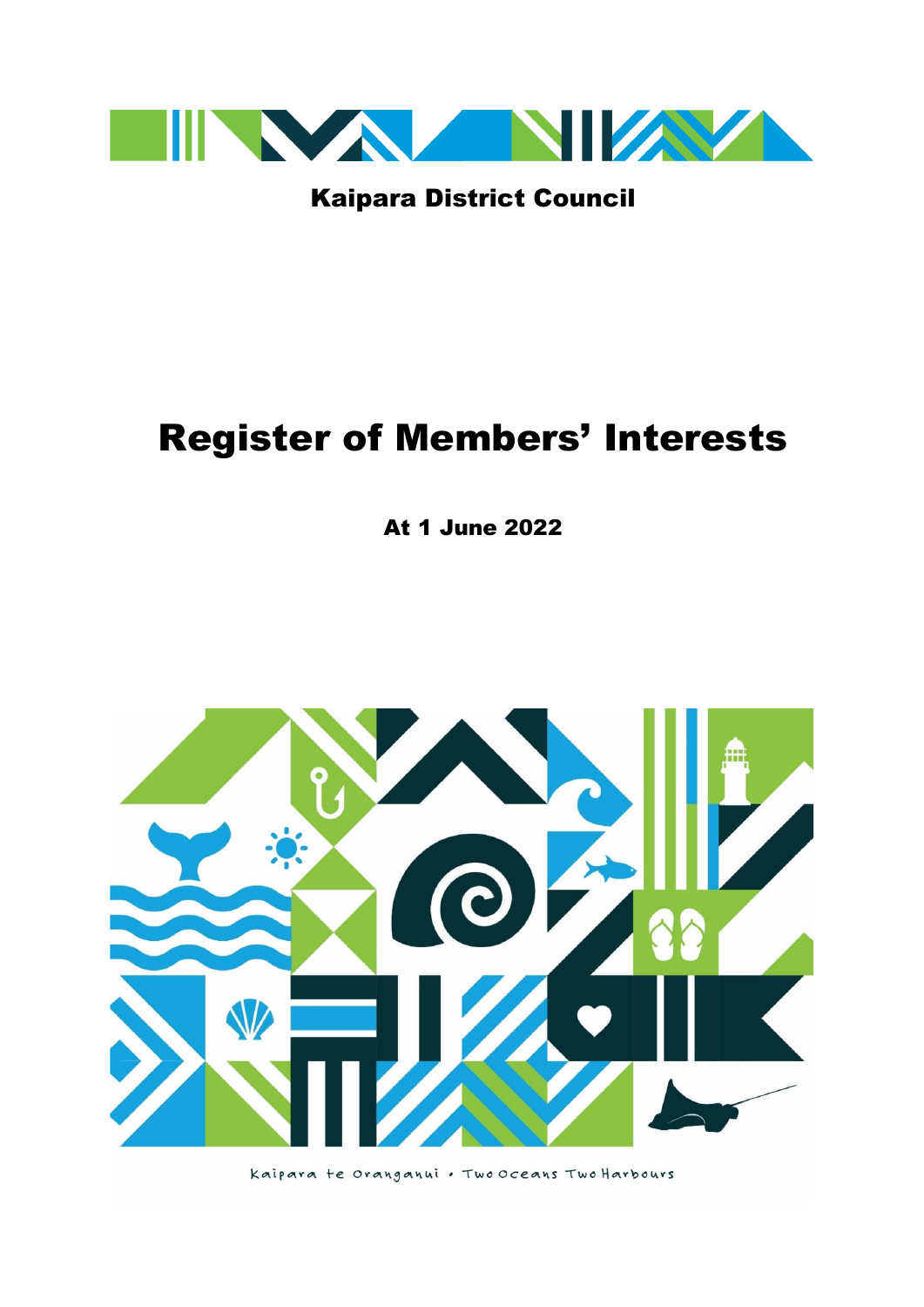

Kaipara District Council

# Register of Members' Interests

At 1 June 2022

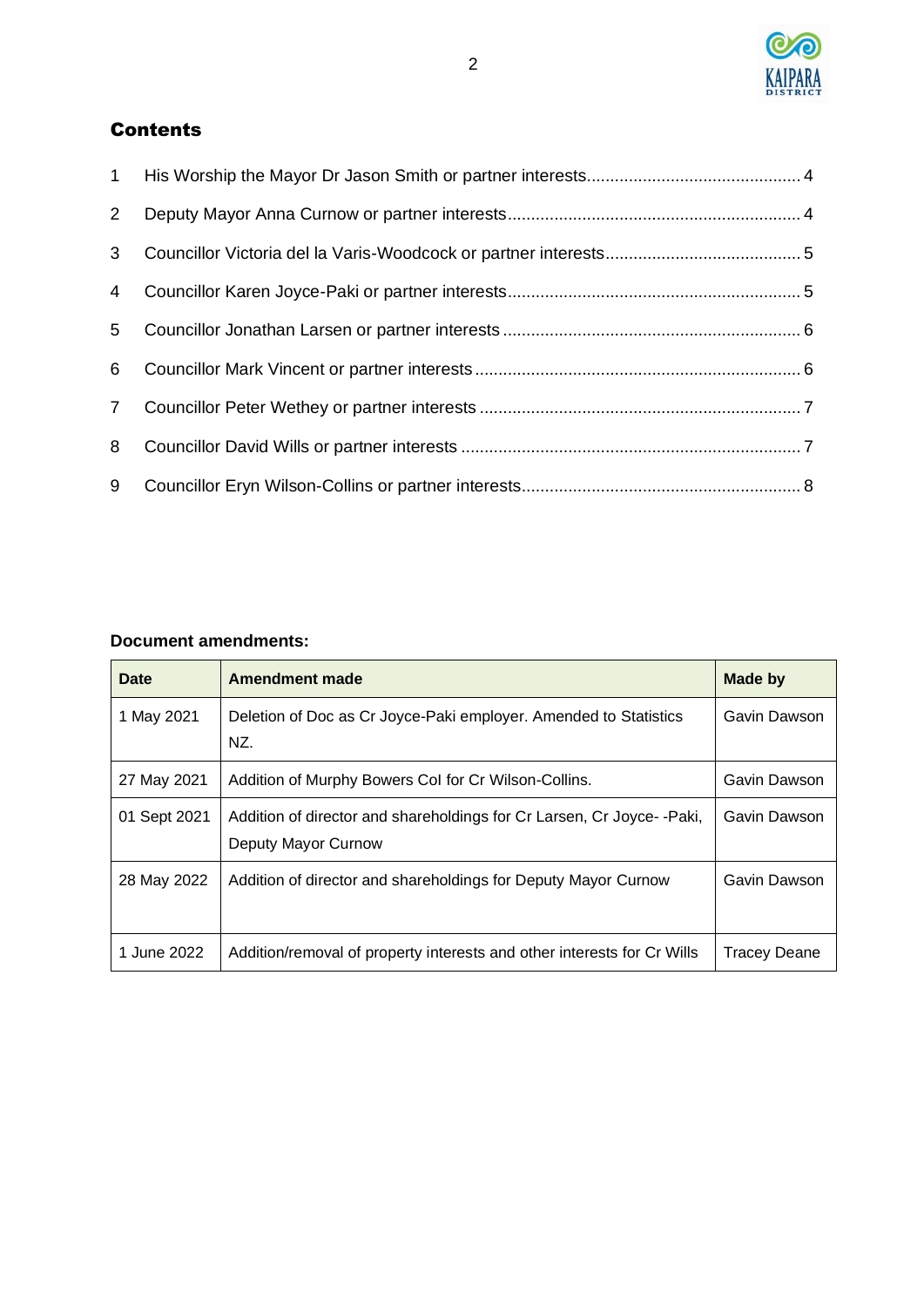

## Contents

| 1              |  |
|----------------|--|
| 2 <sup>7</sup> |  |
| $3^{\circ}$    |  |
|                |  |
| 5 <sup>5</sup> |  |
| 6              |  |
|                |  |
| 8              |  |
| 9              |  |

#### **Document amendments:**

| <b>Date</b>  | <b>Amendment made</b>                                                                        | Made by      |
|--------------|----------------------------------------------------------------------------------------------|--------------|
| 1 May 2021   | Deletion of Doc as Cr Joyce-Paki employer. Amended to Statistics<br>NZ.                      | Gavin Dawson |
| 27 May 2021  | Addition of Murphy Bowers Col for Cr Wilson-Collins.                                         | Gavin Dawson |
| 01 Sept 2021 | Addition of director and shareholdings for Cr Larsen, Cr Joyce--Paki,<br>Deputy Mayor Curnow | Gavin Dawson |
| 28 May 2022  | Addition of director and shareholdings for Deputy Mayor Curnow                               | Gavin Dawson |
| 1 June 2022  | Addition/removal of property interests and other interests for Cr Wills                      | Tracey Deane |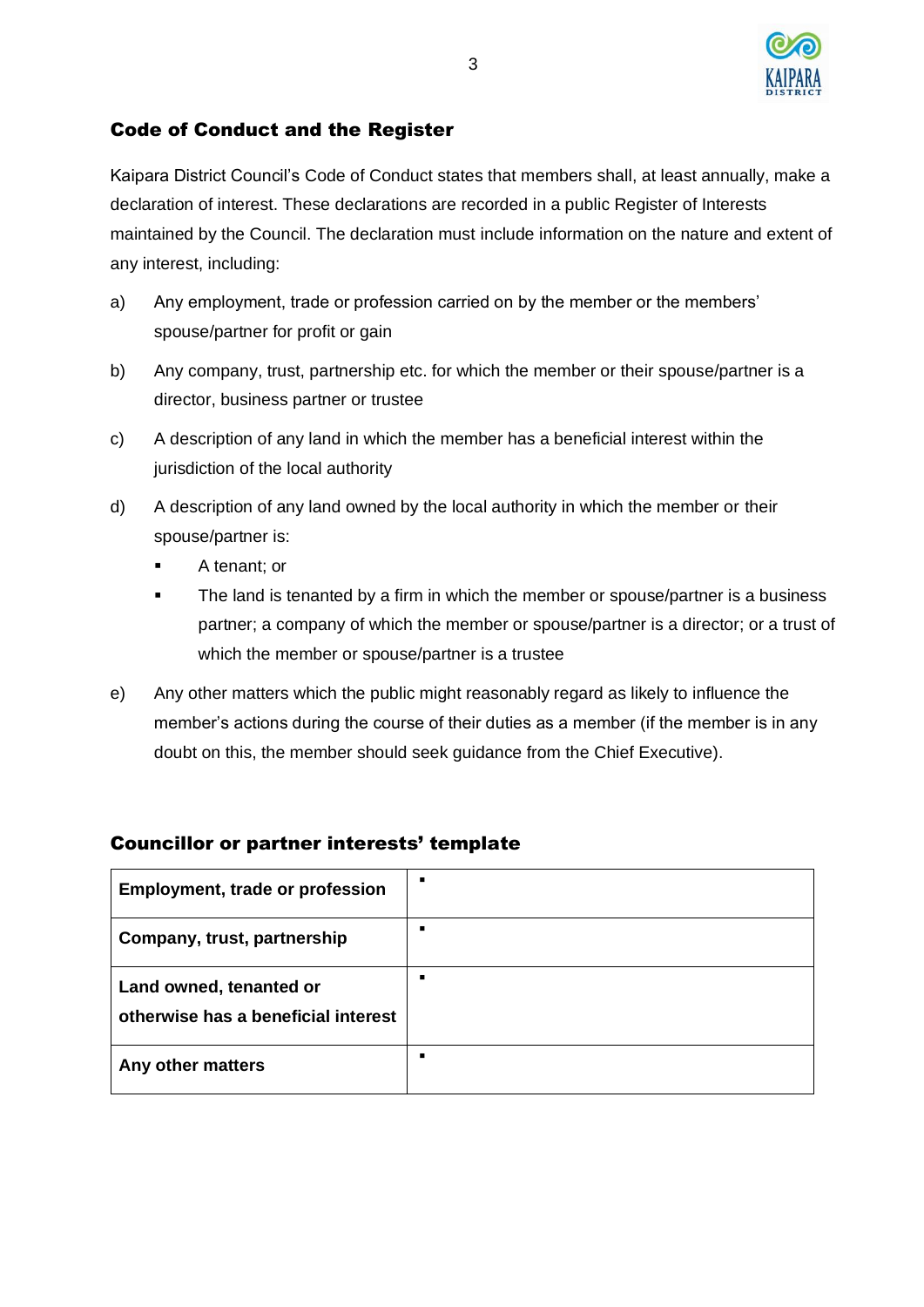

#### Code of Conduct and the Register

Kaipara District Council's Code of Conduct states that members shall, at least annually, make a declaration of interest. These declarations are recorded in a public Register of Interests maintained by the Council. The declaration must include information on the nature and extent of any interest, including:

- a) Any employment, trade or profession carried on by the member or the members' spouse/partner for profit or gain
- b) Any company, trust, partnership etc. for which the member or their spouse/partner is a director, business partner or trustee
- c) A description of any land in which the member has a beneficial interest within the jurisdiction of the local authority
- d) A description of any land owned by the local authority in which the member or their spouse/partner is:
	- A tenant; or
	- **•** The land is tenanted by a firm in which the member or spouse/partner is a business partner; a company of which the member or spouse/partner is a director; or a trust of which the member or spouse/partner is a trustee
- e) Any other matters which the public might reasonably regard as likely to influence the member's actions during the course of their duties as a member (if the member is in any doubt on this, the member should seek guidance from the Chief Executive).

| <b>Employment, trade or profession</b>                         | п |
|----------------------------------------------------------------|---|
| Company, trust, partnership                                    | п |
| Land owned, tenanted or<br>otherwise has a beneficial interest | п |
| Any other matters                                              | п |

#### Councillor or partner interests' template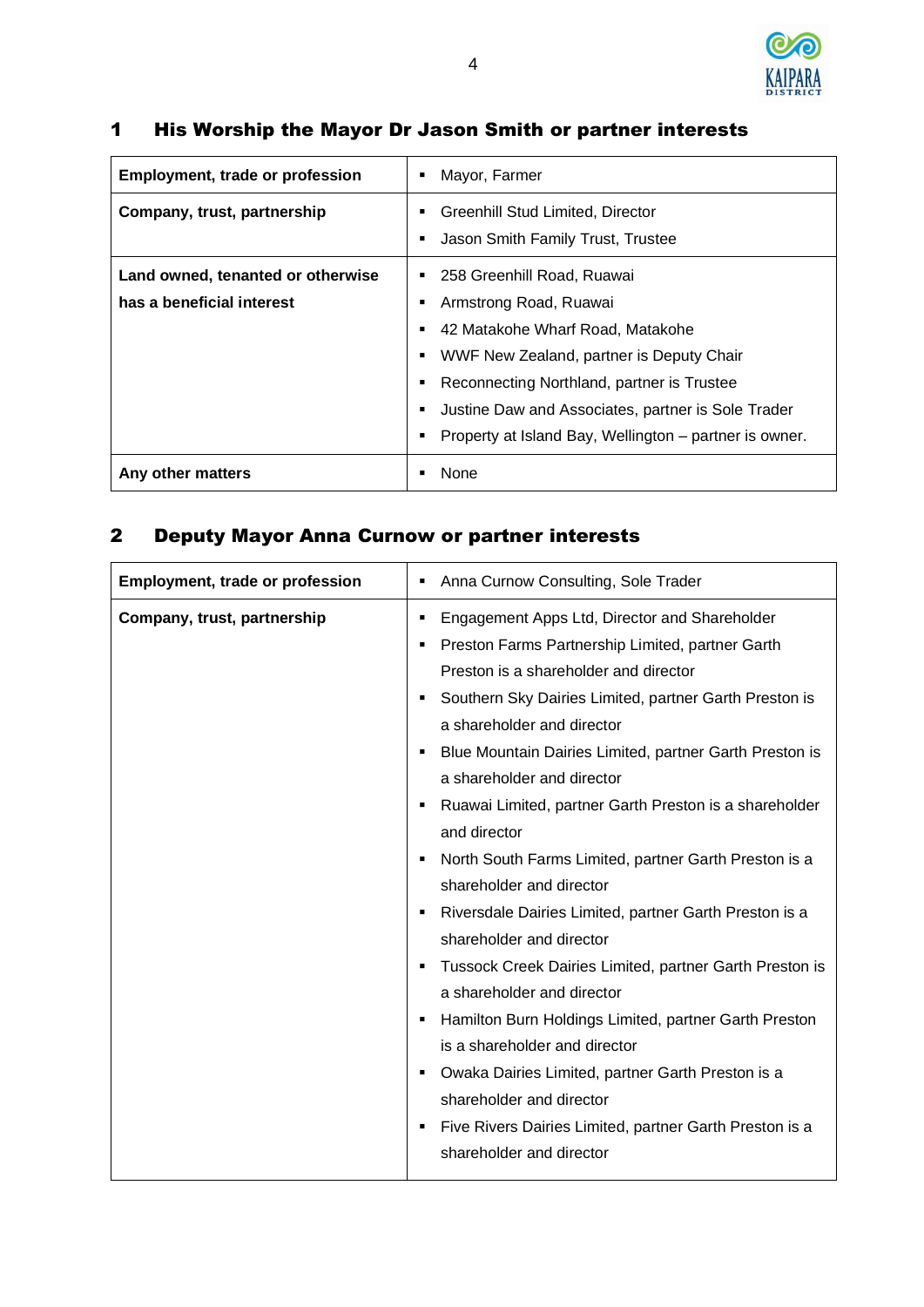

### <span id="page-3-0"></span>1 His Worship the Mayor Dr Jason Smith or partner interests

| <b>Employment, trade or profession</b> | Mayor, Farmer<br>٠                                                    |
|----------------------------------------|-----------------------------------------------------------------------|
| Company, trust, partnership            | Greenhill Stud Limited, Director<br>Jason Smith Family Trust, Trustee |
| Land owned, tenanted or otherwise      | 258 Greenhill Road, Ruawai                                            |
| has a beneficial interest              | Armstrong Road, Ruawai                                                |
|                                        | 42 Matakohe Wharf Road, Matakohe                                      |
|                                        | WWF New Zealand, partner is Deputy Chair                              |
|                                        | Reconnecting Northland, partner is Trustee                            |
|                                        | Justine Daw and Associates, partner is Sole Trader                    |
|                                        | Property at Island Bay, Wellington – partner is owner.                |
| Any other matters                      | None                                                                  |

## <span id="page-3-1"></span>2 Deputy Mayor Anna Curnow or partner interests

| <b>Employment, trade or profession</b> | Anna Curnow Consulting, Sole Trader<br>٠                                                                                                                                                                            |
|----------------------------------------|---------------------------------------------------------------------------------------------------------------------------------------------------------------------------------------------------------------------|
| Company, trust, partnership            | Engagement Apps Ltd, Director and Shareholder<br>п<br>Preston Farms Partnership Limited, partner Garth<br>٠<br>Preston is a shareholder and director<br>Southern Sky Dairies Limited, partner Garth Preston is<br>٠ |
|                                        | a shareholder and director<br>Blue Mountain Dairies Limited, partner Garth Preston is<br>٠<br>a shareholder and director                                                                                            |
|                                        | Ruawai Limited, partner Garth Preston is a shareholder<br>and director<br>North South Farms Limited, partner Garth Preston is a                                                                                     |
|                                        | shareholder and director<br>Riversdale Dairies Limited, partner Garth Preston is a<br>п<br>shareholder and director                                                                                                 |
|                                        | Tussock Creek Dairies Limited, partner Garth Preston is<br>٠<br>a shareholder and director<br>Hamilton Burn Holdings Limited, partner Garth Preston<br>٠                                                            |
|                                        | is a shareholder and director<br>Owaka Dairies Limited, partner Garth Preston is a<br>٠                                                                                                                             |
|                                        | shareholder and director<br>Five Rivers Dairies Limited, partner Garth Preston is a<br>٠<br>shareholder and director                                                                                                |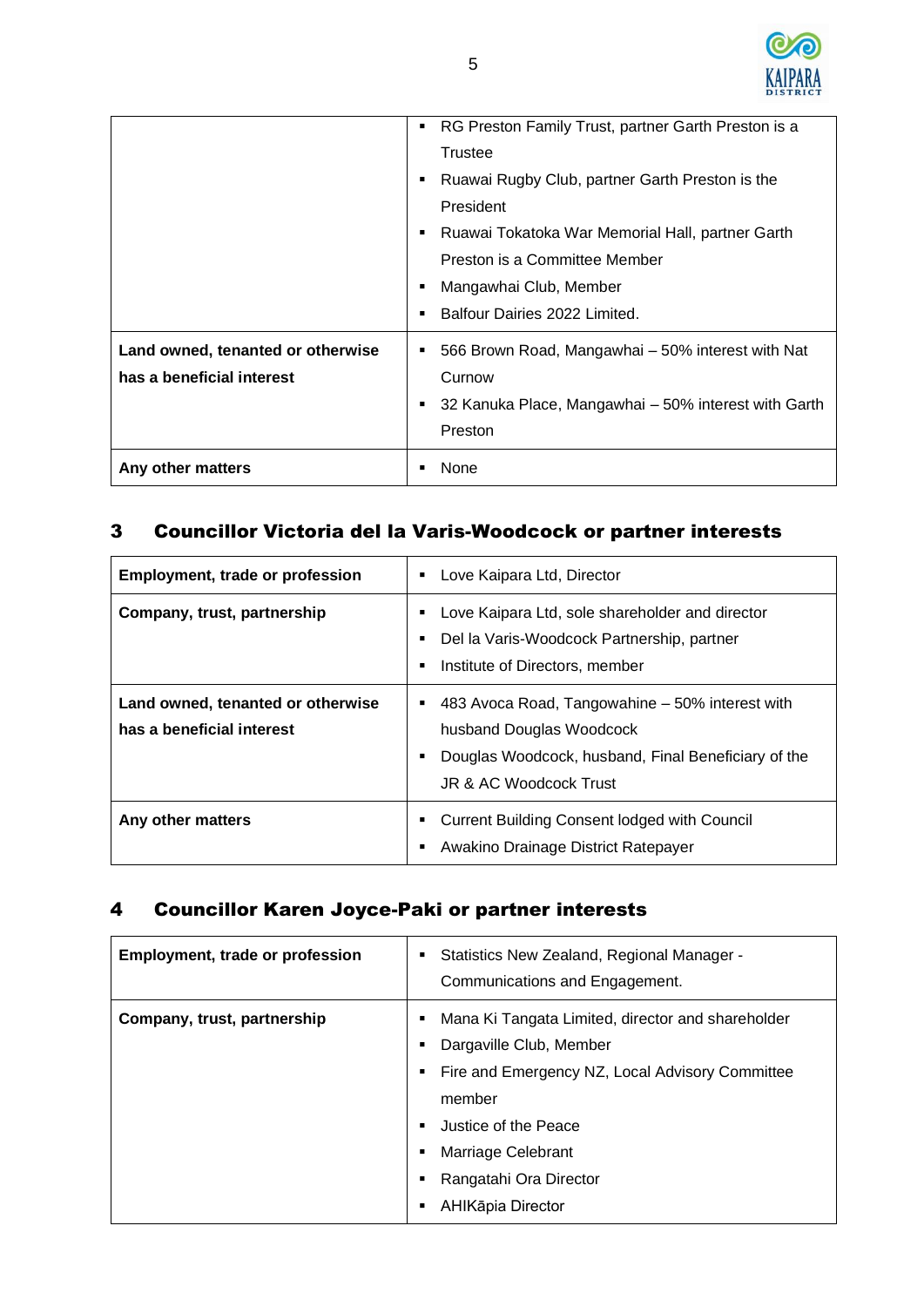

|                                                                | RG Preston Family Trust, partner Garth Preston is a<br>Trustee<br>Ruawai Rugby Club, partner Garth Preston is the<br>President<br>Ruawai Tokatoka War Memorial Hall, partner Garth<br>Preston is a Committee Member<br>Mangawhai Club, Member<br>Balfour Dairies 2022 Limited. |
|----------------------------------------------------------------|--------------------------------------------------------------------------------------------------------------------------------------------------------------------------------------------------------------------------------------------------------------------------------|
| Land owned, tenanted or otherwise<br>has a beneficial interest | 566 Brown Road, Mangawhai - 50% interest with Nat<br>Curnow<br>32 Kanuka Place, Mangawhai - 50% interest with Garth<br>Preston                                                                                                                                                 |
| Any other matters                                              | None                                                                                                                                                                                                                                                                           |

## <span id="page-4-0"></span>3 Councillor Victoria del la Varis-Woodcock or partner interests

| <b>Employment, trade or profession</b>                         | Love Kaipara Ltd, Director                                                                                                                                   |
|----------------------------------------------------------------|--------------------------------------------------------------------------------------------------------------------------------------------------------------|
| Company, trust, partnership                                    | Love Kaipara Ltd, sole shareholder and director<br>Del la Varis-Woodcock Partnership, partner<br>Institute of Directors, member                              |
| Land owned, tenanted or otherwise<br>has a beneficial interest | 483 Avoca Road, Tangowahine – 50% interest with<br>husband Douglas Woodcock<br>Douglas Woodcock, husband, Final Beneficiary of the<br>JR & AC Woodcock Trust |
| Any other matters                                              | Current Building Consent lodged with Council<br>Awakino Drainage District Ratepayer                                                                          |

### <span id="page-4-1"></span>4 Councillor Karen Joyce-Paki or partner interests

| <b>Employment, trade or profession</b> | Statistics New Zealand, Regional Manager -<br>٠<br>Communications and Engagement.                                                                                                                                                                               |
|----------------------------------------|-----------------------------------------------------------------------------------------------------------------------------------------------------------------------------------------------------------------------------------------------------------------|
| Company, trust, partnership            | Mana Ki Tangata Limited, director and shareholder<br>Dargaville Club, Member<br>Fire and Emergency NZ, Local Advisory Committee<br>٠<br>member<br>Justice of the Peace<br>٠<br>Marriage Celebrant<br>٠<br>Rangatahi Ora Director<br>٠<br>AHIKāpia Director<br>٠ |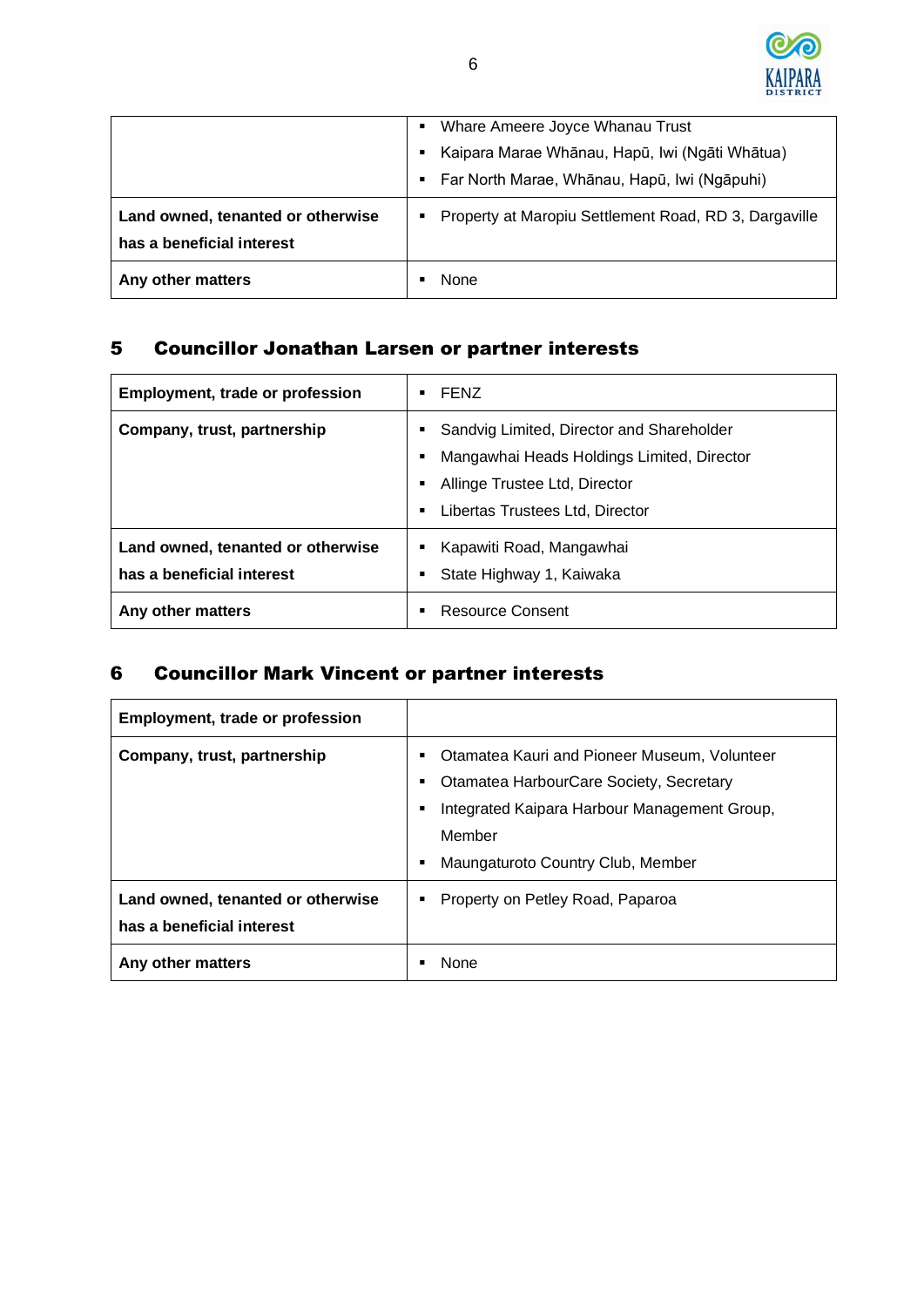

|                                   | Whare Ameere Joyce Whanau Trust                       |
|-----------------------------------|-------------------------------------------------------|
|                                   | Kaipara Marae Whānau, Hapū, Iwi (Ngāti Whātua)        |
|                                   | Far North Marae, Whānau, Hapū, Iwi (Ngāpuhi)          |
| Land owned, tenanted or otherwise | Property at Maropiu Settlement Road, RD 3, Dargaville |
| has a beneficial interest         |                                                       |
| Any other matters                 | None                                                  |

## <span id="page-5-0"></span>5 Councillor Jonathan Larsen or partner interests

| <b>Employment, trade or profession</b>                         | <b>FENZ</b>                                                                                                                                                      |
|----------------------------------------------------------------|------------------------------------------------------------------------------------------------------------------------------------------------------------------|
| Company, trust, partnership                                    | Sandvig Limited, Director and Shareholder<br>Mangawhai Heads Holdings Limited, Director<br>Allinge Trustee Ltd, Director<br>Libertas Trustees Ltd, Director<br>٠ |
| Land owned, tenanted or otherwise<br>has a beneficial interest | Kapawiti Road, Mangawhai<br>State Highway 1, Kaiwaka                                                                                                             |
| Any other matters                                              | Resource Consent                                                                                                                                                 |

## <span id="page-5-1"></span>6 Councillor Mark Vincent or partner interests

<span id="page-5-2"></span>

| <b>Employment, trade or profession</b>                                              |                                                                                                                                                                                        |  |
|-------------------------------------------------------------------------------------|----------------------------------------------------------------------------------------------------------------------------------------------------------------------------------------|--|
| Company, trust, partnership                                                         | Otamatea Kauri and Pioneer Museum, Volunteer<br>Otamatea HarbourCare Society, Secretary<br>Integrated Kaipara Harbour Management Group,<br>Member<br>Maungaturoto Country Club, Member |  |
| Land owned, tenanted or otherwise<br>has a beneficial interest<br>Any other matters | Property on Petley Road, Paparoa<br>None                                                                                                                                               |  |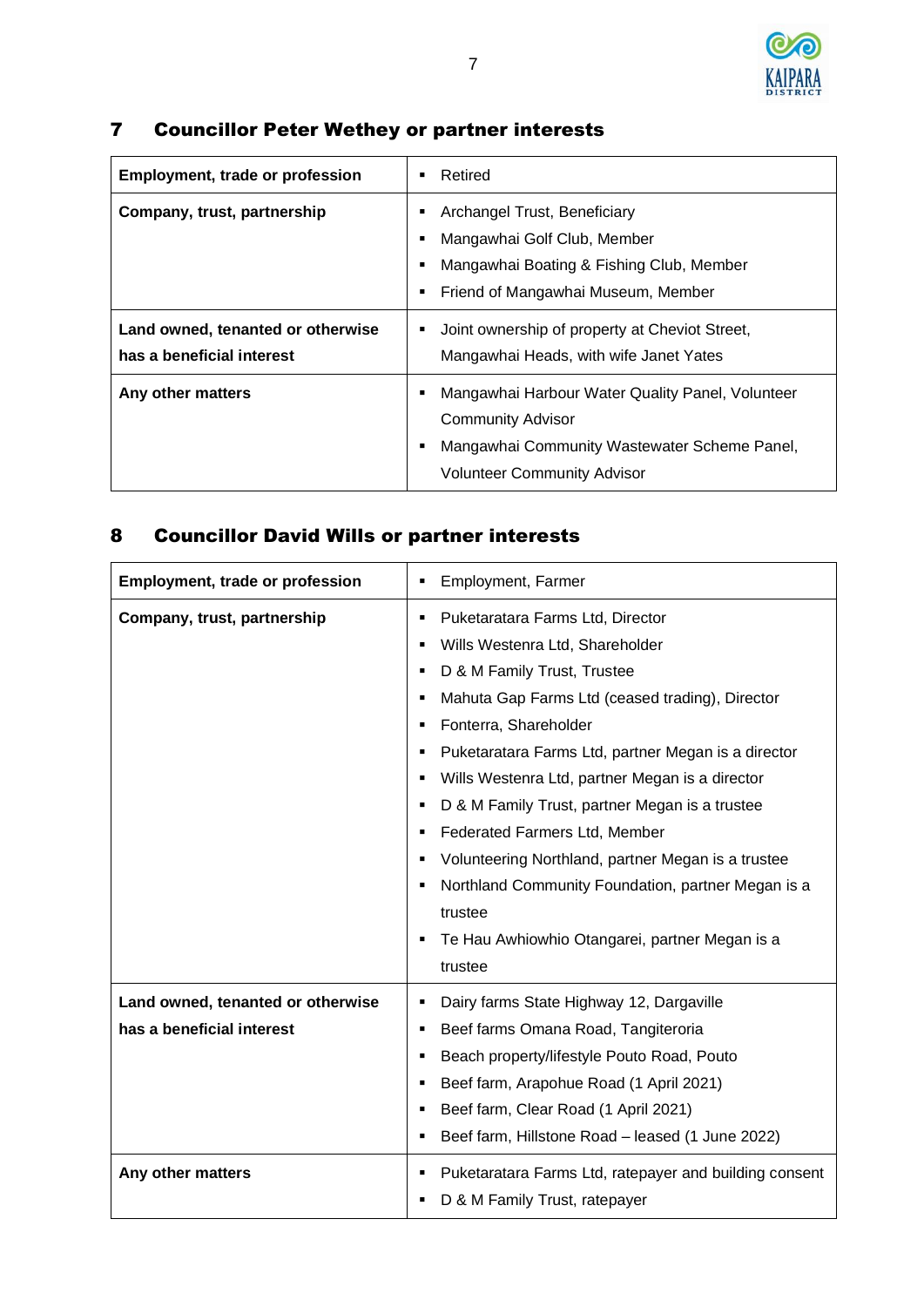

## 7 Councillor Peter Wethey or partner interests

| <b>Employment, trade or profession</b>                         | Retired                                                                                                                                                            |
|----------------------------------------------------------------|--------------------------------------------------------------------------------------------------------------------------------------------------------------------|
| Company, trust, partnership                                    | Archangel Trust, Beneficiary<br>Mangawhai Golf Club, Member<br>Mangawhai Boating & Fishing Club, Member<br>Friend of Mangawhai Museum, Member                      |
| Land owned, tenanted or otherwise<br>has a beneficial interest | Joint ownership of property at Cheviot Street,<br>Mangawhai Heads, with wife Janet Yates                                                                           |
| Any other matters                                              | Mangawhai Harbour Water Quality Panel, Volunteer<br><b>Community Advisor</b><br>Mangawhai Community Wastewater Scheme Panel,<br><b>Volunteer Community Advisor</b> |

## <span id="page-6-0"></span>8 Councillor David Wills or partner interests

| <b>Employment, trade or profession</b>                         | Employment, Farmer                                                                                                                                                                                                                                                                                                                                                                                                                                                                                                                                                             |
|----------------------------------------------------------------|--------------------------------------------------------------------------------------------------------------------------------------------------------------------------------------------------------------------------------------------------------------------------------------------------------------------------------------------------------------------------------------------------------------------------------------------------------------------------------------------------------------------------------------------------------------------------------|
| Company, trust, partnership                                    | Puketaratara Farms Ltd, Director<br>Wills Westenra Ltd, Shareholder<br>D & M Family Trust, Trustee<br>Mahuta Gap Farms Ltd (ceased trading), Director<br>Fonterra, Shareholder<br>Puketaratara Farms Ltd, partner Megan is a director<br>Wills Westenra Ltd, partner Megan is a director<br>٠<br>D & M Family Trust, partner Megan is a trustee<br>٠<br>Federated Farmers Ltd, Member<br>٠<br>Volunteering Northland, partner Megan is a trustee<br>Northland Community Foundation, partner Megan is a<br>trustee<br>Te Hau Awhiowhio Otangarei, partner Megan is a<br>trustee |
| Land owned, tenanted or otherwise<br>has a beneficial interest | Dairy farms State Highway 12, Dargaville<br>Beef farms Omana Road, Tangiteroria<br>Beach property/lifestyle Pouto Road, Pouto<br>Beef farm, Arapohue Road (1 April 2021)<br>Beef farm, Clear Road (1 April 2021)<br>٠<br>Beef farm, Hillstone Road - leased (1 June 2022)<br>٠                                                                                                                                                                                                                                                                                                 |
| Any other matters                                              | Puketaratara Farms Ltd, ratepayer and building consent<br>D & M Family Trust, ratepayer                                                                                                                                                                                                                                                                                                                                                                                                                                                                                        |